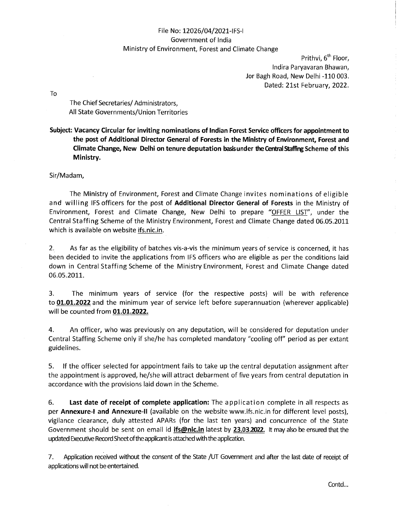# File No: 12026/04/2021-IFS-I Government of India Ministry of Environment, Forest and Climate Change

Prithvi, 6<sup>th</sup> Floor, Indira Paryavaran Bhawan, Jor Bagh Road, New Delhi -110 003. Dated: 21st February, 2022.

To

The Chief Secretaries/ Administrators, All State Governments/Union Territories

**Subject: Vacancy Circular for inviting nominations of Indian Forest Service officers for appointment to the post of Additional Director General of Forests in the Ministry of Environment, Forest and Climate Change, New Delhi on tenure deputation basis under the Central Staffing Scheme of this Ministry.** 

Sir/Madam,

The Ministry of Environment, Forest and Climate Change invites nominations of eligible and willing IFS officers for the post of Additional Director General of Forests in the Ministry of Environment, Forest and Climate Change, New Delhi to prepare "OFFER LIST", under the Central Staffing Scheme of the Ministry Environment, Forest and Climate Change dated 06.05.2011 which is available on website ifs.nic.in.

2. As far as the eligibility of batches vis-a-vis the minimum years of service is concerned, it has been decided to invite the applications from IFS officers who are eligible as per the conditions laid down in Central Staffing Scheme of the Ministry Environment, Forest and Climate Change dated 06.05.2011.

3. The minimum years of service (for the respective posts} will be with reference to **01.01.2022** and the minimum year of service left before superannuation (wherever applicable} will be counted from **01.01.2022.** 

4. An officer, who was previously on any deputation, will be considered for deputation under Central Staffing Scheme only if she/he has completed mandatory "cooling off" period as per extant guidelines.

5. If the officer selected for appointment fails to take up the central deputation assignment after the appointment is approved, he/she will attract debarment of five years from central deputation in accordance with the provisions laid down in the Scheme.

6. **Last date of receipt of complete application:** The application complete in all respects as per **Annexure-1 and Annexure-11** (available on the website www.ifs.nic.in for different level posts}, vigilance clearance, duly attested APARs (for the last ten years) and concurrence of the State Government should be sent on email id **ifs@nic.in** latest by **23.03.2022.** It may also be ensured that the updated Executive Record Sheet of the applicant is attached with the application.

7. Application received without the consent of the State /UT Government and after the last date of receipt of applications will not be entertained.

Contd...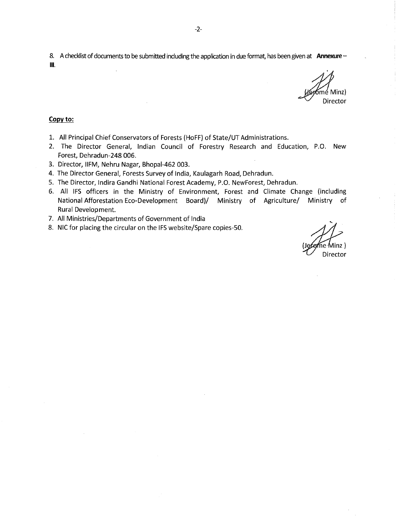8. A checklist of documents to be submitted including the application in due format, has been given at **Annexure** - Ill.

Minz) Director

#### **Copy to:**

- 1. All Principal Chief Conservators of Forests (HoFF) of State/UT Administrations.
- 2. The Director General, Indian Council of Forestry Research and Education, P.O. New Forest, Dehradun-248 006.
- 3. Director, llFM, Nehru Nagar, Bhopal-462 003.
- 4. The Director General, Forests Survey of India, Kaulagarh Road, Dehradun.
- 5. The Director, Indira Gandhi National Forest Academy, P.O. NewForest, Dehradun.
- 6. All IFS officers in the Ministry of Environment, Forest and Climate Change (including National Afforestation Eco-Development Board)/ Ministry of Agriculture/ Ministry of Rural Development.
- 7. All Ministries/Departments of Government of India
- 8. NIC for placing the circular on the IFS website/Spare copies-50.<br>(Jefeme Minz)

Director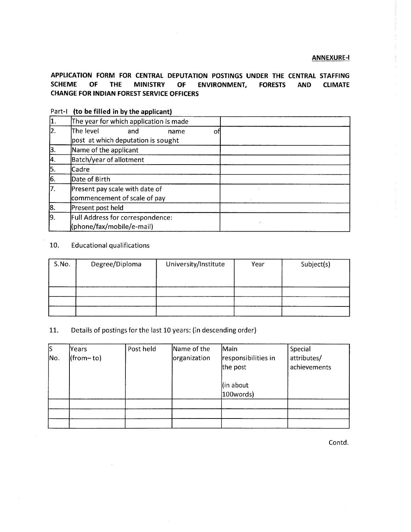**APPLICATION FORM FOR CENTRAL DEPUTATION POSTINGS UNDER THE CENTRAL STAFFING SCHEME OF THE MINISTRY OF ENVIRONMENT, FORESTS AND CLIMATE CHANGE FOR INDIAN FOREST SERVICE OFFICERS** 

| 1.  | The year for which application is made                               |  |  |
|-----|----------------------------------------------------------------------|--|--|
| 2.  | The level<br>and<br>name<br>Οt<br>post at which deputation is sought |  |  |
| 3.  | Name of the applicant                                                |  |  |
| 4.  | <b>Batch/year of allotment</b>                                       |  |  |
| 5.  | Cadre                                                                |  |  |
| 6.  | Date of Birth                                                        |  |  |
| 7.  | Present pay scale with date of<br>commencement of scale of pay       |  |  |
| 8.  | Present post held                                                    |  |  |
| ļ9. | Full Address for correspondence:<br>(phone/fax/mobile/e-mail)        |  |  |

# Part-I **(to be filled in by the applicant)**

# 10. Educational qualifications

| S.No. | Degree/Diploma | University/Institute | Year | Subject(s) |
|-------|----------------|----------------------|------|------------|
|       |                |                      |      |            |
|       |                |                      |      |            |
|       |                |                      |      |            |

# 11. Details of postings for the last 10 years: (in descending order)

| S   | Years      | Post held | Name of the  | Main                          | Special      |
|-----|------------|-----------|--------------|-------------------------------|--------------|
| No. | (from– to) |           | organization | responsibilities in           | attributes/  |
|     |            |           |              | the post                      | achievements |
|     |            |           |              | (in about<br>$ 100$ words $ $ |              |
|     |            |           |              |                               |              |
|     |            |           |              |                               |              |
|     |            |           |              |                               |              |

Contd.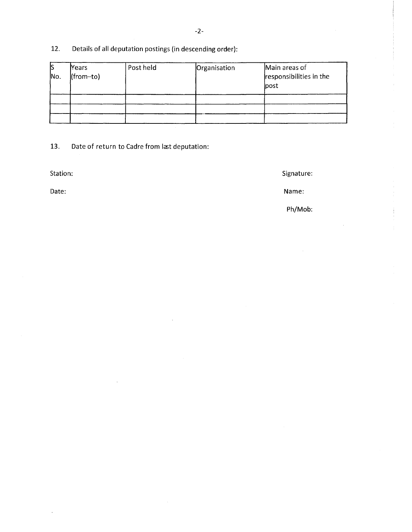# 12. Details of all deputation postings (in descending order):

| ß<br>Mo. | <b>Years</b><br>(from-to) | Post held | Organisation | Main areas of<br>responsibilities in the<br><b>lpost</b> |
|----------|---------------------------|-----------|--------------|----------------------------------------------------------|
|          |                           |           |              |                                                          |
|          |                           |           |              |                                                          |
|          |                           |           |              |                                                          |

13. Date of return to Cadre from last deputation:

Station: Station: Station: Signature: Station: Signature: Signature: Signature: Signature: Signature: Signature: Signature: Signature: Signature: Signature: Signature: Signature: Signature: Signature: Signature: Signature:

Date: Name:

Ph/Mob: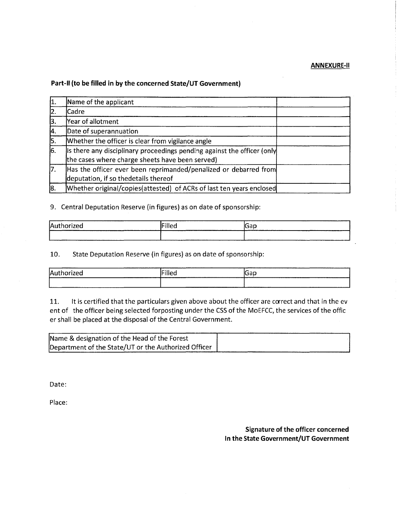### **ANNEXURE-11**

### **Part-II (to be filled in by the concerned State/UT Government)**

| ١1. | Name of the applicant                                                                                                      |  |
|-----|----------------------------------------------------------------------------------------------------------------------------|--|
| 12. | Cadre                                                                                                                      |  |
| 13. | Year of allotment                                                                                                          |  |
| 14. | Date of superannuation                                                                                                     |  |
| 5.  | Whether the officer is clear from vigilance angle                                                                          |  |
| 16. | Is there any disciplinary proceedings pending against the officer (only<br>the cases where charge sheets have been served) |  |
| 17. | Has the officer ever been reprimanded/penalized or debarred from<br>deputation, if so thedetails thereof                   |  |
| 18. | Whether original/copies(attested) of ACRs of last ten years enclosed                                                       |  |

# 9. Central Deputation Reserve (in figures) as on date of sponsorship:

| Authorized          | .              |             |
|---------------------|----------------|-------------|
|                     | <b>trilled</b> | <b>IGap</b> |
| ________<br>_______ |                | ______      |

10. State Deputation Reserve (in figures) as on date of sponsorship:

| ----------<br>Authorized<br>-------------<br>_____ | Filled | -<br>Gap |
|----------------------------------------------------|--------|----------|
| _______                                            |        | ________ |

11. It is certified that the particulars given above about the officer are correct and that in the ev ent of the officer being selected forposting under the CSS of the MoEFCC, the services of the offic er shall be placed at the disposal of the Central Government.

| Name & designation of the Head of the Forest         |  |
|------------------------------------------------------|--|
| Department of the State/UT or the Authorized Officer |  |

Date:

Place:

**Signature of the officer concerned In the State Government/UT Government**